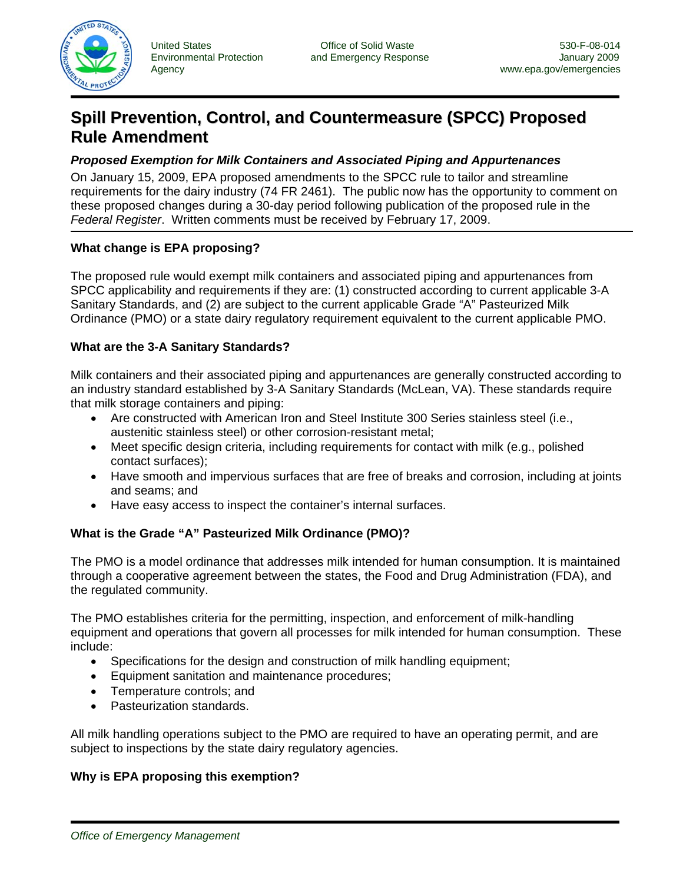

# **Spill Prevention, Control, and Countermeasure (SPCC) Proposed Rule Amendment**

## *Proposed Exemption for Milk Containers and Associated Piping and Appurtenances*

On January 15, 2009, EPA proposed amendments to the SPCC rule to tailor and streamline requirements for the dairy industry (74 FR 2461). The public now has the opportunity to comment on these proposed changes during a 30-day period following publication of the proposed rule in the *Federal Register*. Written comments must be received by February 17, 2009.

# **What change is EPA proposing?**

The proposed rule would exempt milk containers and associated piping and appurtenances from SPCC applicability and requirements if they are: (1) constructed according to current applicable 3-A Sanitary Standards, and (2) are subject to the current applicable Grade "A" Pasteurized Milk Ordinance (PMO) or a state dairy regulatory requirement equivalent to the current applicable PMO.

### **What are the 3-A Sanitary Standards?**

Milk containers and their associated piping and appurtenances are generally constructed according to an industry standard established by 3-A Sanitary Standards (McLean, VA). These standards require that milk storage containers and piping:

- Are constructed with American Iron and Steel Institute 300 Series stainless steel (i.e., austenitic stainless steel) or other corrosion-resistant metal;
- Meet specific design criteria, including requirements for contact with milk (e.g., polished contact surfaces);
- Have smooth and impervious surfaces that are free of breaks and corrosion, including at joints and seams; and
- Have easy access to inspect the container's internal surfaces.

# **What is the Grade "A" Pasteurized Milk Ordinance (PMO)?**

The PMO is a model ordinance that addresses milk intended for human consumption. It is maintained through a cooperative agreement between the states, the Food and Drug Administration (FDA), and the regulated community.

The PMO establishes criteria for the permitting, inspection, and enforcement of milk-handling equipment and operations that govern all processes for milk intended for human consumption. These include:

- Specifications for the design and construction of milk handling equipment;
- Equipment sanitation and maintenance procedures;
- Temperature controls; and
- Pasteurization standards.

All milk handling operations subject to the PMO are required to have an operating permit, and are subject to inspections by the state dairy regulatory agencies.

### **Why is EPA proposing this exemption?**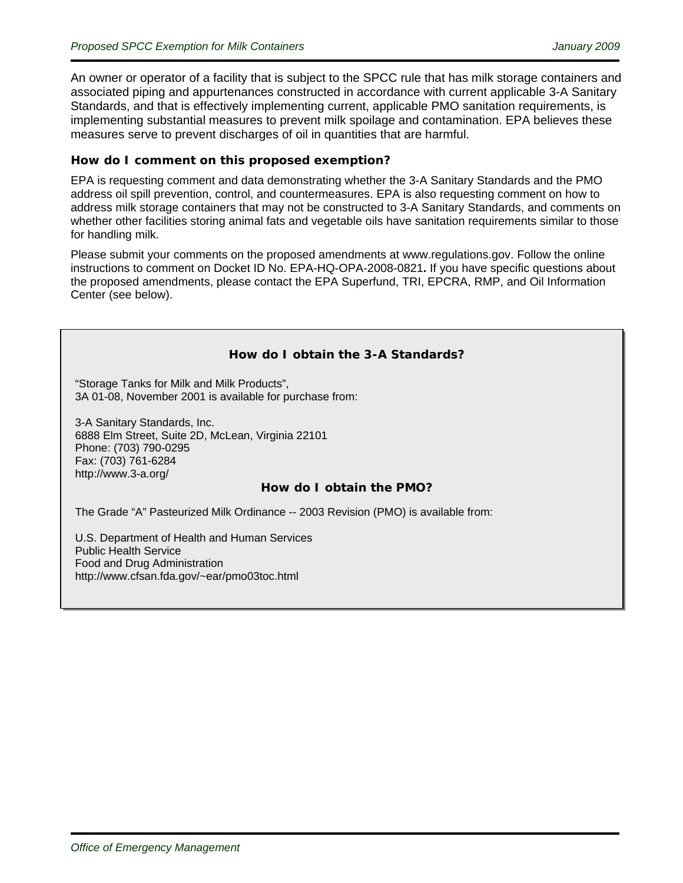An owner or operator of a facility that is subject to the SPCC rule that has milk storage containers and associated piping and appurtenances constructed in accordance with current applicable 3-A Sanitary Standards, and that is effectively implementing current, applicable PMO sanitation requirements, is implementing substantial measures to prevent milk spoilage and contamination. EPA believes these measures serve to prevent discharges of oil in quantities that are harmful.

### **How do I comment on this proposed exemption?**

EPA is requesting comment and data demonstrating whether the 3-A Sanitary Standards and the PMO address oil spill prevention, control, and countermeasures. EPA is also requesting comment on how to address milk storage containers that may not be constructed to 3-A Sanitary Standards, and comments on whether other facilities storing animal fats and vegetable oils have sanitation requirements similar to those for handling milk.

Please submit your comments on the proposed amendments at [www.regulations.gov.](http://www.regulations.gov/) Follow the online instructions to comment on Docket ID No. EPA-HQ-OPA-2008-0821**.** If you have specific questions about the proposed amendments, please contact the EPA Superfund, TRI, EPCRA, RMP, and Oil Information Center (see below).

### **How do I obtain the 3-A Standards?**

"Storage Tanks for Milk and Milk Products", [3A 01-08,](http://www.techstreet.com/cgi-bin/detail?product_id=232301) November 2001 is available for purchase from:

3-A Sanitary Standards, Inc. 6888 Elm Street, Suite 2D, McLean, Virginia 22101 Phone: (703) 790-0295 Fax: (703) 761-6284 <http://www.3-a.org/>

### **How do I obtain the PMO?**

The Grade "A" Pasteurized Milk Ordinance -- 2003 Revision (PMO) is available from:

U.S. Department of Health and Human Services Public Health Service Food and Drug Administration [http://www.cfsan.fda.gov/~ear/pmo03toc.html](http://www.cfsan.fda.gov/%7Eear/pmo03toc.html)